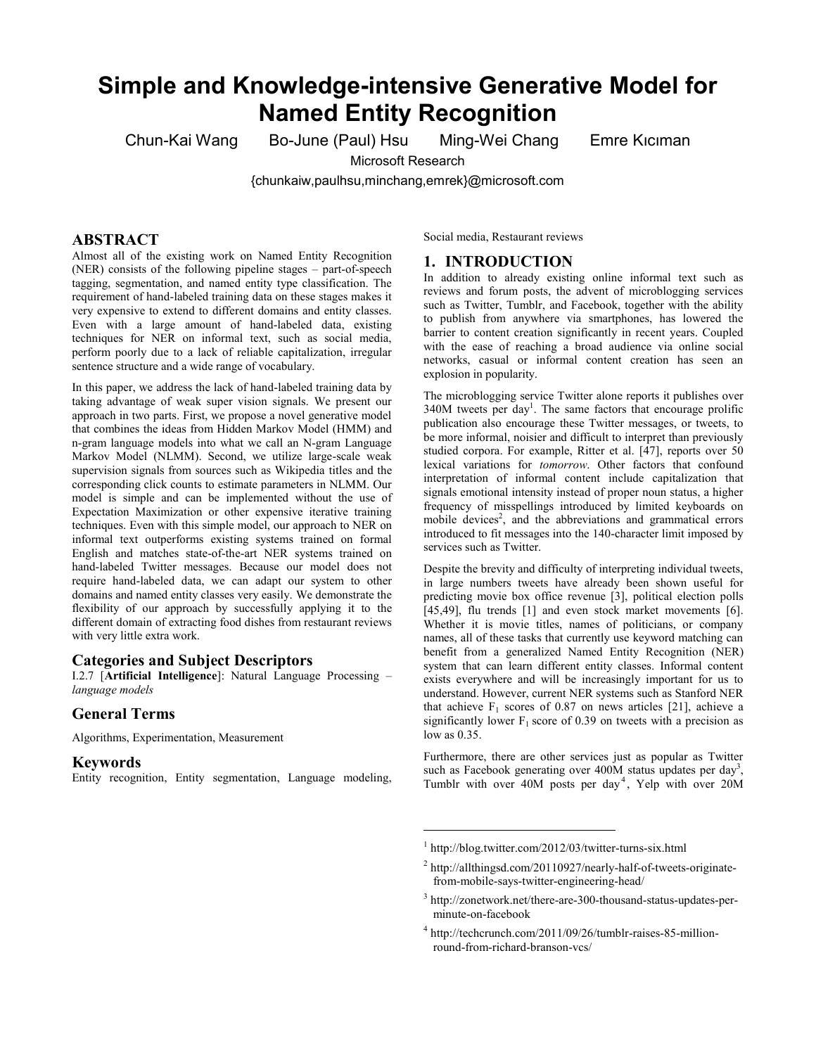# **Simple and Knowledge-intensive Generative Model for Named Entity Recognition**

Chun-Kai Wang Bo-June (Paul) Hsu Ming-Wei Chang Emre Kıcıman

Microsoft Research

{chunkaiw,paulhsu,minchang,emrek}@microsoft.com

# **ABSTRACT**

Almost all of the existing work on Named Entity Recognition (NER) consists of the following pipeline stages – part-of-speech tagging, segmentation, and named entity type classification. The requirement of hand-labeled training data on these stages makes it very expensive to extend to different domains and entity classes. Even with a large amount of hand-labeled data, existing techniques for NER on informal text, such as social media, perform poorly due to a lack of reliable capitalization, irregular sentence structure and a wide range of vocabulary.

In this paper, we address the lack of hand-labeled training data by taking advantage of weak super vision signals. We present our approach in two parts. First, we propose a novel generative model that combines the ideas from Hidden Markov Model (HMM) and n-gram language models into what we call an N-gram Language Markov Model (NLMM). Second, we utilize large-scale weak supervision signals from sources such as Wikipedia titles and the corresponding click counts to estimate parameters in NLMM. Our model is simple and can be implemented without the use of Expectation Maximization or other expensive iterative training techniques. Even with this simple model, our approach to NER on informal text outperforms existing systems trained on formal English and matches state-of-the-art NER systems trained on hand-labeled Twitter messages. Because our model does not require hand-labeled data, we can adapt our system to other domains and named entity classes very easily. We demonstrate the flexibility of our approach by successfully applying it to the different domain of extracting food dishes from restaurant reviews with very little extra work.

## **Categories and Subject Descriptors**

I.2.7 [**Artificial Intelligence**]: Natural Language Processing – *language models*

## **General Terms**

Algorithms, Experimentation, Measurement

#### **Keywords**

Entity recognition, Entity segmentation, Language modeling,

Social media, Restaurant reviews

### **1. INTRODUCTION**

In addition to already existing online informal text such as reviews and forum posts, the advent of microblogging services such as Twitter, Tumblr, and Facebook, together with the ability to publish from anywhere via smartphones, has lowered the barrier to content creation significantly in recent years. Coupled with the ease of reaching a broad audience via online social networks, casual or informal content creation has seen an explosion in popularity.

The microblogging service Twitter alone reports it publishes over  $340M$  tweets per day<sup>1</sup>. The same factors that encourage prolific publication also encourage these Twitter messages, or tweets, to be more informal, noisier and difficult to interpret than previously studied corpora. For example, Ritter et al. [47], reports over 50 lexical variations for *tomorrow*. Other factors that confound interpretation of informal content include capitalization that signals emotional intensity instead of proper noun status, a higher frequency of misspellings introduced by limited keyboards on mobile devices<sup>2</sup>, and the abbreviations and grammatical errors introduced to fit messages into the 140-character limit imposed by services such as Twitter.

Despite the brevity and difficulty of interpreting individual tweets, in large numbers tweets have already been shown useful for predicting movie box office revenue [3], political election polls  $[45,49]$ , flu trends  $[1]$  and even stock market movements  $[6]$ . Whether it is movie titles, names of politicians, or company names, all of these tasks that currently use keyword matching can benefit from a generalized Named Entity Recognition (NER) system that can learn different entity classes. Informal content exists everywhere and will be increasingly important for us to understand. However, current NER systems such as Stanford NER that achieve  $F_1$  scores of 0.87 on news articles [21], achieve a significantly lower  $F_1$  score of 0.39 on tweets with a precision as low as 0.35.

Furthermore, there are other services just as popular as Twitter such as Facebook generating over  $400M$  status updates per day<sup>3</sup>, Tumblr with over 40M posts per day<sup>4</sup>, Yelp with over 20M

<sup>1</sup> http://blog.twitter.com/2012/03/twitter-turns-six.html

<sup>&</sup>lt;sup>2</sup> http://allthingsd.com/20110927/nearly-half-of-tweets-originatefrom-mobile-says-twitter-engineering-head/

<sup>3</sup> http://zonetwork.net/there-are-300-thousand-status-updates-perminute-on-facebook

<sup>4</sup> http://techcrunch.com/2011/09/26/tumblr-raises-85-millionround-from-richard-branson-vcs/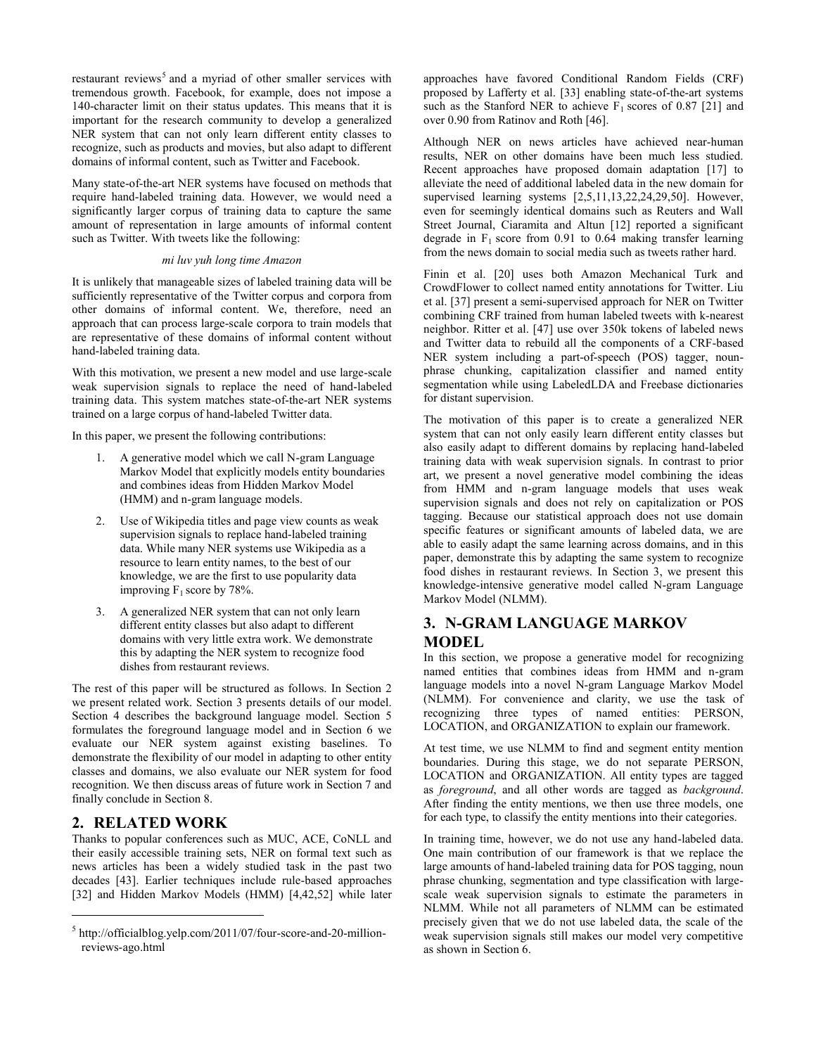restaurant reviews<sup>5</sup> and a myriad of other smaller services with tremendous growth. Facebook, for example, does not impose a 140-character limit on their status updates. This means that it is important for the research community to develop a generalized NER system that can not only learn different entity classes to recognize, such as products and movies, but also adapt to different domains of informal content, such as Twitter and Facebook.

Many state-of-the-art NER systems have focused on methods that require hand-labeled training data. However, we would need a significantly larger corpus of training data to capture the same amount of representation in large amounts of informal content such as Twitter. With tweets like the following:

#### *mi luv yuh long time Amazon*

It is unlikely that manageable sizes of labeled training data will be sufficiently representative of the Twitter corpus and corpora from other domains of informal content. We, therefore, need an approach that can process large-scale corpora to train models that are representative of these domains of informal content without hand-labeled training data.

With this motivation, we present a new model and use large-scale weak supervision signals to replace the need of hand-labeled training data. This system matches state-of-the-art NER systems trained on a large corpus of hand-labeled Twitter data.

In this paper, we present the following contributions:

- 1. A generative model which we call N-gram Language Markov Model that explicitly models entity boundaries and combines ideas from Hidden Markov Model (HMM) and n-gram language models.
- 2. Use of Wikipedia titles and page view counts as weak supervision signals to replace hand-labeled training data. While many NER systems use Wikipedia as a resource to learn entity names, to the best of our knowledge, we are the first to use popularity data improving  $F_1$  score by 78%.
- 3. A generalized NER system that can not only learn different entity classes but also adapt to different domains with very little extra work. We demonstrate this by adapting the NER system to recognize food dishes from restaurant reviews.

The rest of this paper will be structured as follows. In Section 2 we present related work. Section 3 presents details of our model. Section 4 describes the background language model. Section 5 formulates the foreground language model and in Section 6 we evaluate our NER system against existing baselines. To demonstrate the flexibility of our model in adapting to other entity classes and domains, we also evaluate our NER system for food recognition. We then discuss areas of future work in Section 7 and finally conclude in Section 8.

## **2. RELATED WORK**

l

Thanks to popular conferences such as MUC, ACE, CoNLL and their easily accessible training sets, NER on formal text such as news articles has been a widely studied task in the past two decades [43]. Earlier techniques include rule-based approaches [32] and Hidden Markov Models (HMM) [4,42,52] while later

approaches have favored Conditional Random Fields (CRF) proposed by Lafferty et al. [33] enabling state-of-the-art systems such as the Stanford NER to achieve  $F_1$  scores of 0.87 [21] and over 0.90 from Ratinov and Roth [46].

Although NER on news articles have achieved near-human results, NER on other domains have been much less studied. Recent approaches have proposed domain adaptation [17] to alleviate the need of additional labeled data in the new domain for supervised learning systems [2,5,11,13,22,24,29,50]. However, even for seemingly identical domains such as Reuters and Wall Street Journal, Ciaramita and Altun [12] reported a significant degrade in  $F_1$  score from 0.91 to 0.64 making transfer learning from the news domain to social media such as tweets rather hard.

Finin et al. [20] uses both Amazon Mechanical Turk and CrowdFlower to collect named entity annotations for Twitter. Liu et al. [37] present a semi-supervised approach for NER on Twitter combining CRF trained from human labeled tweets with k-nearest neighbor. Ritter et al. [47] use over 350k tokens of labeled news and Twitter data to rebuild all the components of a CRF-based NER system including a part-of-speech (POS) tagger, nounphrase chunking, capitalization classifier and named entity segmentation while using LabeledLDA and Freebase dictionaries for distant supervision.

The motivation of this paper is to create a generalized NER system that can not only easily learn different entity classes but also easily adapt to different domains by replacing hand-labeled training data with weak supervision signals. In contrast to prior art, we present a novel generative model combining the ideas from HMM and n-gram language models that uses weak supervision signals and does not rely on capitalization or POS tagging. Because our statistical approach does not use domain specific features or significant amounts of labeled data, we are able to easily adapt the same learning across domains, and in this paper, demonstrate this by adapting the same system to recognize food dishes in restaurant reviews. In Section 3, we present this knowledge-intensive generative model called N-gram Language Markov Model (NLMM).

# **3. N-GRAM LANGUAGE MARKOV MODEL**

In this section, we propose a generative model for recognizing named entities that combines ideas from HMM and n-gram language models into a novel N-gram Language Markov Model (NLMM). For convenience and clarity, we use the task of recognizing three types of named entities: PERSON, LOCATION, and ORGANIZATION to explain our framework.

At test time, we use NLMM to find and segment entity mention boundaries. During this stage, we do not separate PERSON, LOCATION and ORGANIZATION. All entity types are tagged as *foreground*, and all other words are tagged as *background*. After finding the entity mentions, we then use three models, one for each type, to classify the entity mentions into their categories.

In training time, however, we do not use any hand-labeled data. One main contribution of our framework is that we replace the large amounts of hand-labeled training data for POS tagging, noun phrase chunking, segmentation and type classification with largescale weak supervision signals to estimate the parameters in NLMM. While not all parameters of NLMM can be estimated precisely given that we do not use labeled data, the scale of the weak supervision signals still makes our model very competitive as shown in Section 6.

<sup>5</sup> http://officialblog.yelp.com/2011/07/four-score-and-20-millionreviews-ago.html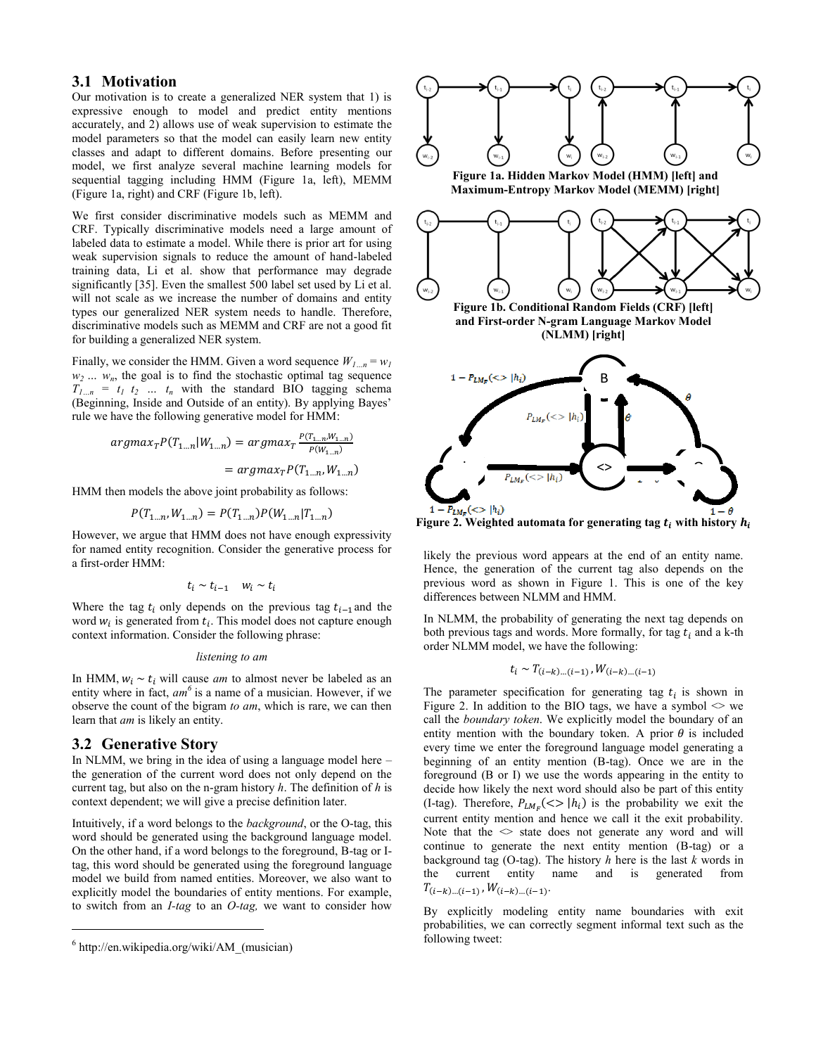## **3.1 Motivation**

Our motivation is to create a generalized NER system that 1) is expressive enough to model and predict entity mentions accurately, and 2) allows use of weak supervision to estimate the model parameters so that the model can easily learn new entity classes and adapt to different domains. Before presenting our model, we first analyze several machine learning models for sequential tagging including HMM (Figure 1a, left), MEMM (Figure 1a, right) and CRF (Figure 1b, left).

We first consider discriminative models such as MEMM and CRF. Typically discriminative models need a large amount of labeled data to estimate a model. While there is prior art for using weak supervision signals to reduce the amount of hand-labeled training data, Li et al. show that performance may degrade significantly [35]. Even the smallest 500 label set used by Li et al. will not scale as we increase the number of domains and entity types our generalized NER system needs to handle. Therefore, discriminative models such as MEMM and CRF are not a good fit for building a generalized NER system.

Finally, we consider the HMM. Given a word sequence  $W_1$ <sub>n</sub> =  $W_1$  $w_2 \ldots w_n$ , the goal is to find the stochastic optimal tag sequence  $T_{1...n} = t_1 t_2 ... t_n$  with the standard BIO tagging schema (Beginning, Inside and Outside of an entity). By applying Bayes' rule we have the following generative model for HMM:

$$
argmax_{T} P(T_{1...n}|W_{1...n}) = argmax_{T} \frac{P(T_{1...n}, W_{1...n})}{P(W_{1...n})}
$$

$$
= argmax_{T} P(T_{1...n}, W_{1...n})
$$

HMM then models the above joint probability as follows:

$$
P(T_{1\ldots n}, W_{1\ldots n}) = P(T_{1\ldots n})P(W_{1\ldots n}|T_{1\ldots n})
$$

However, we argue that HMM does not have enough expressivity for named entity recognition. Consider the generative process for a first-order HMM:

$$
t_i \sim t_{i-1} \quad w_i \sim t_i
$$

Where the tag  $t_i$  only depends on the previous tag  $t_{i-1}$  and the word  $w_i$  is generated from  $t_i$ . This model does not capture enough context information. Consider the following phrase:

#### *listening to am*

In HMM,  $w_i \sim t_i$  will cause *am* to almost never be labeled as an entity where in fact, *am<sup>6</sup>* is a name of a musician. However, if we observe the count of the bigram *to am*, which is rare, we can then learn that *am* is likely an entity.

#### **3.2 Generative Story**

 $\overline{a}$ 

In NLMM, we bring in the idea of using a language model here – the generation of the current word does not only depend on the current tag, but also on the n-gram history *h*. The definition of *h* is context dependent; we will give a precise definition later.

Intuitively, if a word belongs to the *background*, or the O-tag, this word should be generated using the background language model. On the other hand, if a word belongs to the foreground, B-tag or Itag, this word should be generated using the foreground language model we build from named entities. Moreover, we also want to explicitly model the boundaries of entity mentions. For example, to switch from an *I-tag* to an *O-tag,* we want to consider how





likely the previous word appears at the end of an entity name. Hence, the generation of the current tag also depends on the previous word as shown in Figure 1. This is one of the key differences between NLMM and HMM.

In NLMM, the probability of generating the next tag depends on both previous tags and words. More formally, for tag  $t_i$  and a k-th order NLMM model, we have the following:

$$
t_i \sim T_{(i-k)\dots(i-1)}, W_{(i-k)\dots(i-1)}
$$

The parameter specification for generating tag  $t_i$  is shown in Figure 2. In addition to the BIO tags, we have a symbol  $\leq$  we call the *boundary token*. We explicitly model the boundary of an entity mention with the boundary token. A prior  $\theta$  is included every time we enter the foreground language model generating a beginning of an entity mention (B-tag). Once we are in the foreground (B or I) we use the words appearing in the entity to decide how likely the next word should also be part of this entity (I-tag). Therefore,  $P_{LM_{\pi}}(\ll)$  |h<sub>i</sub>) is the probability we exit the current entity mention and hence we call it the exit probability. Note that the  $\leq$  state does not generate any word and will continue to generate the next entity mention (B-tag) or a background tag (O-tag). The history *h* here is the last *k* words in the current entity name and is generated from  $T_{(i-k)\dots(i-1)}$  ,  $W_{(i-k)\dots(i-1)}$ .

By explicitly modeling entity name boundaries with exit probabilities, we can correctly segment informal text such as the following tweet:

<sup>&</sup>lt;sup>6</sup> http://en.wikipedia.org/wiki/AM (musician)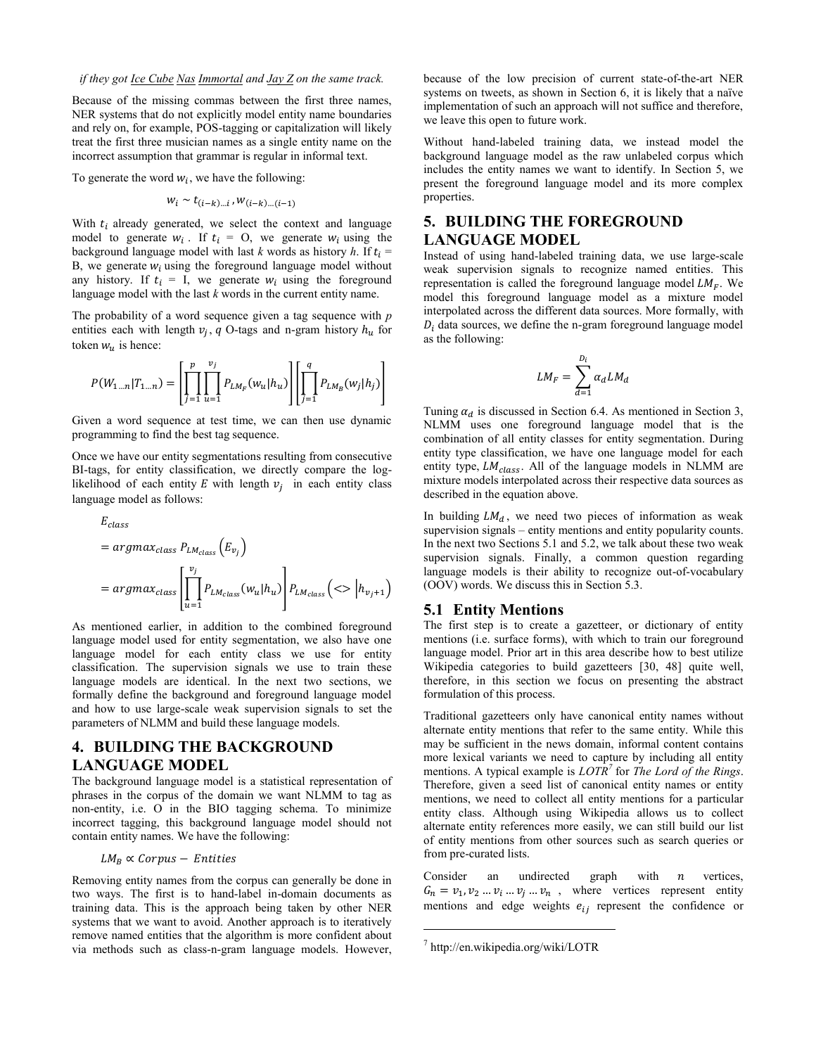Because of the missing commas between the first three names, NER systems that do not explicitly model entity name boundaries and rely on, for example, POS-tagging or capitalization will likely treat the first three musician names as a single entity name on the incorrect assumption that grammar is regular in informal text.

To generate the word  $w_i$ , we have the following:

$$
w_i \sim t_{(i-k)\dots i}, w_{(i-k)\dots (i-1)}
$$

With  $t_i$  already generated, we select the context and language model to generate  $w_i$ . If  $t_i = 0$ , we generate  $w_i$  using the background language model with last *k* words as history *h*. If  $t_i$  = B, we generate  $w_i$  using the foreground language model without any history. If  $t_i = I$ , we generate  $w_i$  using the foreground language model with the last *k* words in the current entity name.

The probability of a word sequence given a tag sequence with *p* entities each with length  $v_i$ , q O-tags and n-gram history  $h_u$  for token  $w_u$  is hence:

$$
P(W_{1\ldots n} | T_{1\ldots n}) = \left[ \prod_{j=1}^{p} \prod_{u=1}^{v_j} P_{LM_F}(w_u | h_u) \right] \left[ \prod_{j=1}^{q} P_{LM_B}(w_j | h_j) \right]
$$

Given a word sequence at test time, we can then use dynamic programming to find the best tag sequence.

Once we have our entity segmentations resulting from consecutive BI-tags, for entity classification, we directly compare the loglikelihood of each entity E with length  $v_i$  in each entity class language model as follows:

$$
E_{class}
$$
  
=  $argmax_{class} P_{LM_{class}}(E_{v_j})$   
=  $argmax_{class} \left[ \prod_{u=1}^{v_j} P_{LM_{class}}(w_u | h_u) \right] P_{LM_{class}}( \langle > | h_{v_j+1})$ 

As mentioned earlier, in addition to the combined foreground language model used for entity segmentation, we also have one language model for each entity class we use for entity classification. The supervision signals we use to train these language models are identical. In the next two sections, we formally define the background and foreground language model and how to use large-scale weak supervision signals to set the parameters of NLMM and build these language models.

# **4. BUILDING THE BACKGROUND LANGUAGE MODEL**

The background language model is a statistical representation of phrases in the corpus of the domain we want NLMM to tag as non-entity, i.e. O in the BIO tagging schema. To minimize incorrect tagging, this background language model should not contain entity names. We have the following:

$$
LM_B \propto Corpus - Entities
$$

Removing entity names from the corpus can generally be done in two ways. The first is to hand-label in-domain documents as training data. This is the approach being taken by other NER systems that we want to avoid. Another approach is to iteratively remove named entities that the algorithm is more confident about via methods such as class-n-gram language models. However, because of the low precision of current state-of-the-art NER systems on tweets, as shown in Section 6, it is likely that a naïve implementation of such an approach will not suffice and therefore, we leave this open to future work.

Without hand-labeled training data, we instead model the background language model as the raw unlabeled corpus which includes the entity names we want to identify. In Section 5, we present the foreground language model and its more complex properties.

# **5. BUILDING THE FOREGROUND LANGUAGE MODEL**

Instead of using hand-labeled training data, we use large-scale weak supervision signals to recognize named entities. This representation is called the foreground language model  $LM_F$ . We model this foreground language model as a mixture model interpolated across the different data sources. More formally, with  $D_i$  data sources, we define the n-gram foreground language model as the following:

$$
LM_F = \sum_{d=1}^{D_i} \alpha_d LM_d
$$

Tuning  $\alpha_d$  is discussed in Section 6.4. As mentioned in Section 3, NLMM uses one foreground language model that is the combination of all entity classes for entity segmentation. During entity type classification, we have one language model for each entity type,  $LM_{class}$ . All of the language models in NLMM are mixture models interpolated across their respective data sources as described in the equation above.

In building  $LM_d$ , we need two pieces of information as weak supervision signals – entity mentions and entity popularity counts. In the next two Sections 5.1 and 5.2, we talk about these two weak supervision signals. Finally, a common question regarding language models is their ability to recognize out-of-vocabulary (OOV) words. We discuss this in Section 5.3.

#### **5.1 Entity Mentions**

The first step is to create a gazetteer, or dictionary of entity mentions (i.e. surface forms), with which to train our foreground language model. Prior art in this area describe how to best utilize Wikipedia categories to build gazetteers [30, 48] quite well, therefore, in this section we focus on presenting the abstract formulation of this process.

Traditional gazetteers only have canonical entity names without alternate entity mentions that refer to the same entity. While this may be sufficient in the news domain, informal content contains more lexical variants we need to capture by including all entity mentions. A typical example is *LOTR<sup>7</sup>* for *The Lord of the Rings*. Therefore, given a seed list of canonical entity names or entity mentions, we need to collect all entity mentions for a particular entity class. Although using Wikipedia allows us to collect alternate entity references more easily, we can still build our list of entity mentions from other sources such as search queries or from pre-curated lists.

Consider an undirected graph with  $n$  vertices,  $G_n = v_1, v_2, \dots, v_i, \dots, v_n$ , where vertices represent entity mentions and edge weights  $e_{ij}$  represent the confidence or

<sup>7</sup> http://en.wikipedia.org/wiki/LOTR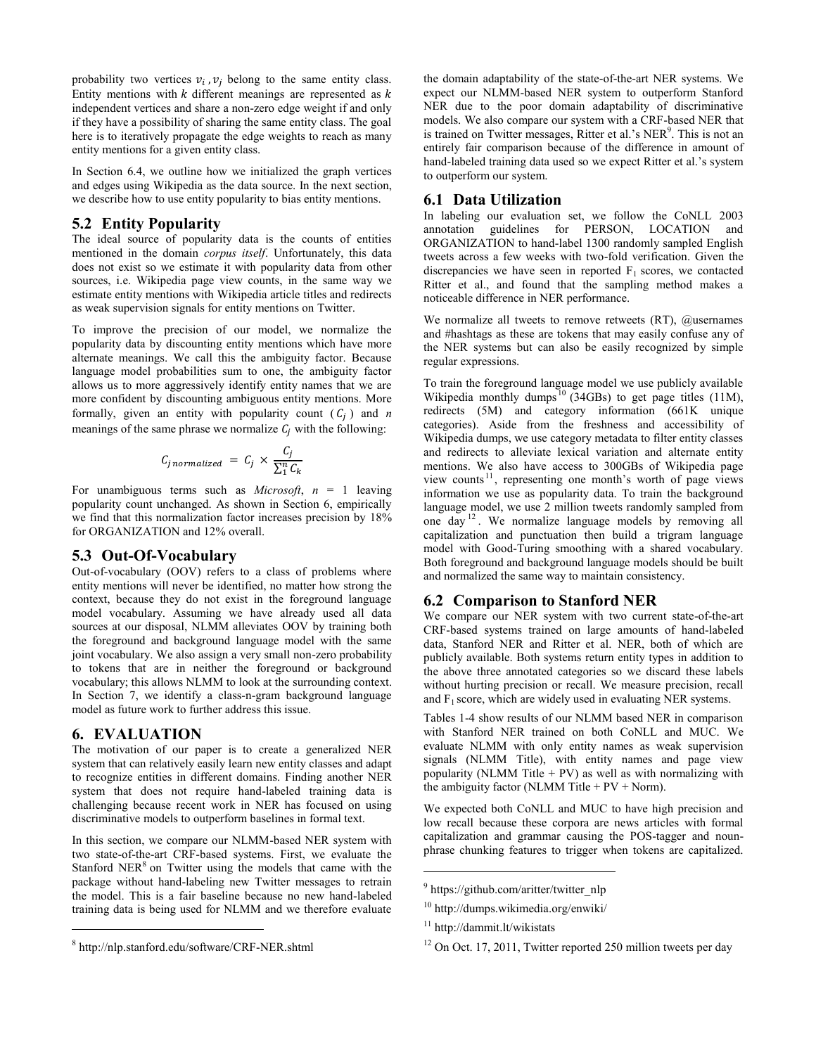probability two vertices  $v_i$ ,  $v_i$  belong to the same entity class. Entity mentions with  $k$  different meanings are represented as  $k$ independent vertices and share a non-zero edge weight if and only if they have a possibility of sharing the same entity class. The goal here is to iteratively propagate the edge weights to reach as many entity mentions for a given entity class.

In Section 6.4, we outline how we initialized the graph vertices and edges using Wikipedia as the data source. In the next section, we describe how to use entity popularity to bias entity mentions.

# **5.2 Entity Popularity**

The ideal source of popularity data is the counts of entities mentioned in the domain *corpus itself*. Unfortunately, this data does not exist so we estimate it with popularity data from other sources, i.e. Wikipedia page view counts, in the same way we estimate entity mentions with Wikipedia article titles and redirects as weak supervision signals for entity mentions on Twitter.

To improve the precision of our model, we normalize the popularity data by discounting entity mentions which have more alternate meanings. We call this the ambiguity factor. Because language model probabilities sum to one, the ambiguity factor allows us to more aggressively identify entity names that we are more confident by discounting ambiguous entity mentions. More formally, given an entity with popularity count  $(C_i)$  and *n* meanings of the same phrase we normalize  $C_i$  with the following:

$$
C_{j \, normalized} = C_j \times \frac{C_j}{\sum_{i=1}^{n} C_k}
$$

For unambiguous terms such as *Microsoft*, *n* = 1 leaving popularity count unchanged. As shown in Section 6, empirically we find that this normalization factor increases precision by 18% for ORGANIZATION and 12% overall.

## **5.3 Out-Of-Vocabulary**

Out-of-vocabulary (OOV) refers to a class of problems where entity mentions will never be identified, no matter how strong the context, because they do not exist in the foreground language model vocabulary. Assuming we have already used all data sources at our disposal, NLMM alleviates OOV by training both the foreground and background language model with the same joint vocabulary. We also assign a very small non-zero probability to tokens that are in neither the foreground or background vocabulary; this allows NLMM to look at the surrounding context. In Section 7, we identify a class-n-gram background language model as future work to further address this issue.

# **6. EVALUATION**

 $\overline{a}$ 

The motivation of our paper is to create a generalized NER system that can relatively easily learn new entity classes and adapt to recognize entities in different domains. Finding another NER system that does not require hand-labeled training data is challenging because recent work in NER has focused on using discriminative models to outperform baselines in formal text.

In this section, we compare our NLMM-based NER system with two state-of-the-art CRF-based systems. First, we evaluate the Stanford NER $<sup>8</sup>$  on Twitter using the models that came with the</sup> package without hand-labeling new Twitter messages to retrain the model. This is a fair baseline because no new hand-labeled training data is being used for NLMM and we therefore evaluate

the domain adaptability of the state-of-the-art NER systems. We expect our NLMM-based NER system to outperform Stanford NER due to the poor domain adaptability of discriminative models. We also compare our system with a CRF-based NER that is trained on Twitter messages, Ritter et al.'s NER<sup>9</sup>. This is not an entirely fair comparison because of the difference in amount of hand-labeled training data used so we expect Ritter et al.'s system to outperform our system.

# **6.1 Data Utilization**

In labeling our evaluation set, we follow the CoNLL 2003 annotation guidelines for PERSON, LOCATION and ORGANIZATION to hand-label 1300 randomly sampled English tweets across a few weeks with two-fold verification. Given the discrepancies we have seen in reported  $F_1$  scores, we contacted Ritter et al., and found that the sampling method makes a noticeable difference in NER performance.

We normalize all tweets to remove retweets (RT), @usernames and #hashtags as these are tokens that may easily confuse any of the NER systems but can also be easily recognized by simple regular expressions.

To train the foreground language model we use publicly available Wikipedia monthly dumps<sup>10</sup> (34GBs) to get page titles  $(11M)$ , redirects (5M) and category information (661K unique categories). Aside from the freshness and accessibility of Wikipedia dumps, we use category metadata to filter entity classes and redirects to alleviate lexical variation and alternate entity mentions. We also have access to 300GBs of Wikipedia page view counts <sup>11</sup> , representing one month's worth of page views information we use as popularity data. To train the background language model, we use 2 million tweets randomly sampled from one day <sup>12</sup> . We normalize language models by removing all capitalization and punctuation then build a trigram language model with Good-Turing smoothing with a shared vocabulary. Both foreground and background language models should be built and normalized the same way to maintain consistency.

# **6.2 Comparison to Stanford NER**

We compare our NER system with two current state-of-the-art CRF-based systems trained on large amounts of hand-labeled data, Stanford NER and Ritter et al. NER, both of which are publicly available. Both systems return entity types in addition to the above three annotated categories so we discard these labels without hurting precision or recall. We measure precision, recall and  $F_1$  score, which are widely used in evaluating NER systems.

Tables 1-4 show results of our NLMM based NER in comparison with Stanford NER trained on both CoNLL and MUC. We evaluate NLMM with only entity names as weak supervision signals (NLMM Title), with entity names and page view popularity (NLMM Title  $+ PV$ ) as well as with normalizing with the ambiguity factor (NLMM Title  $+ PV + Norm$ ).

We expected both CoNLL and MUC to have high precision and low recall because these corpora are news articles with formal capitalization and grammar causing the POS-tagger and nounphrase chunking features to trigger when tokens are capitalized.

<sup>8</sup> http://nlp.stanford.edu/software/CRF-NER.shtml

<sup>&</sup>lt;sup>9</sup> https://github.com/aritter/twitter\_nlp

<sup>10</sup> http://dumps.wikimedia.org/enwiki/

<sup>11</sup> http://dammit.lt/wikistats

<sup>&</sup>lt;sup>12</sup> On Oct. 17, 2011, Twitter reported 250 million tweets per day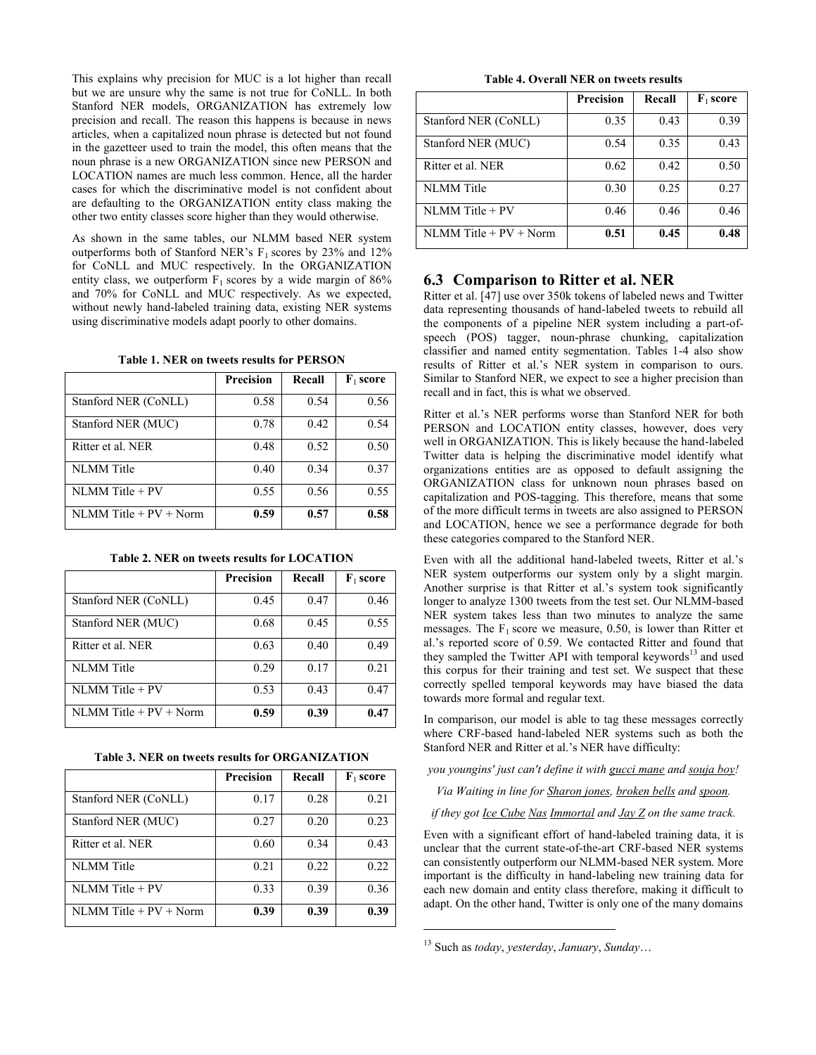This explains why precision for MUC is a lot higher than recall but we are unsure why the same is not true for CoNLL. In both Stanford NER models, ORGANIZATION has extremely low precision and recall. The reason this happens is because in news articles, when a capitalized noun phrase is detected but not found in the gazetteer used to train the model, this often means that the noun phrase is a new ORGANIZATION since new PERSON and LOCATION names are much less common. Hence, all the harder cases for which the discriminative model is not confident about are defaulting to the ORGANIZATION entity class making the other two entity classes score higher than they would otherwise.

As shown in the same tables, our NLMM based NER system outperforms both of Stanford NER's  $F_1$  scores by 23% and 12% for CoNLL and MUC respectively. In the ORGANIZATION entity class, we outperform  $F_1$  scores by a wide margin of 86% and 70% for CoNLL and MUC respectively. As we expected, without newly hand-labeled training data, existing NER systems using discriminative models adapt poorly to other domains.

**Table 1. NER on tweets results for PERSON**

|                            | Precision | Recall | $\mathbf{F}_1$ score |
|----------------------------|-----------|--------|----------------------|
| Stanford NER (CoNLL)       | 0.58      | 0.54   | 0.56                 |
| Stanford NER (MUC)         | 0.78      | 0.42   | 0.54                 |
| Ritter et al. NER          | 0.48      | 0.52   | 0.50                 |
| <b>NLMM</b> Title          | 0.40      | 0.34   | 0.37                 |
| $NLMM$ Title + PV          | 0.55      | 0.56   | 0.55                 |
| $NLMM$ Title + $PV$ + Norm | 0.59      | 0.57   | 0.58                 |

| Table 2. NER on tweets results for LOCATION |  |  |  |
|---------------------------------------------|--|--|--|
|---------------------------------------------|--|--|--|

|                            | Precision | Recall | $\mathbf{F}_1$ score |
|----------------------------|-----------|--------|----------------------|
| Stanford NER (CoNLL)       | 0.45      | 0.47   | 0.46                 |
| Stanford NER (MUC)         | 0.68      | 0.45   | 0.55                 |
| Ritter et al. NER          | 0.63      | 0.40   | 0.49                 |
| NLMM Title                 | 0.29      | 0.17   | 0.21                 |
| $NLMM$ Title + PV          | 0.53      | 0.43   | 0.47                 |
| $NLMM$ Title + $PV$ + Norm | 0.59      | 0.39   | 0.47                 |

**Table 3. NER on tweets results for ORGANIZATION**

|                            | <b>Precision</b> | Recall | $\mathbf{F}_1$ score |
|----------------------------|------------------|--------|----------------------|
| Stanford NER (CoNLL)       | 0.17             | 0.28   | 0.21                 |
| Stanford NER (MUC)         | 0.27             | 0.20   | 0.23                 |
| Ritter et al. NER          | 0.60             | 0.34   | 0.43                 |
| NLMM Title                 | 0.21             | 0.22   | 0.22                 |
| $NLMM$ Title + PV          | 0.33             | 0.39   | 0.36                 |
| $NLMM$ Title + $PV$ + Norm | 0.39             | 0.39   | 0.39                 |

**Table 4. Overall NER on tweets results**

|                             | <b>Precision</b> | Recall | $\mathbf{F}_1$ score |
|-----------------------------|------------------|--------|----------------------|
| Stanford NER (CoNLL)        | 0.35             | 0.43   | 0.39                 |
| Stanford NER (MUC)          | 0.54             | 0.35   | 0.43                 |
| Ritter et al. NER           | 0.62             | 0.42   | 0.50                 |
| NLMM Title                  | 0.30             | 0.25   | 0.27                 |
| $NLMM$ Title + PV           | 0.46             | 0.46   | 0.46                 |
| $NI.MM$ Title + $PV + Norm$ | 0.51             | 0.45   | 0.48                 |

#### **6.3 Comparison to Ritter et al. NER**

Ritter et al. [47] use over 350k tokens of labeled news and Twitter data representing thousands of hand-labeled tweets to rebuild all the components of a pipeline NER system including a part-ofspeech (POS) tagger, noun-phrase chunking, capitalization classifier and named entity segmentation. Tables 1-4 also show results of Ritter et al.'s NER system in comparison to ours. Similar to Stanford NER, we expect to see a higher precision than recall and in fact, this is what we observed.

Ritter et al.'s NER performs worse than Stanford NER for both PERSON and LOCATION entity classes, however, does very well in ORGANIZATION. This is likely because the hand-labeled Twitter data is helping the discriminative model identify what organizations entities are as opposed to default assigning the ORGANIZATION class for unknown noun phrases based on capitalization and POS-tagging. This therefore, means that some of the more difficult terms in tweets are also assigned to PERSON and LOCATION, hence we see a performance degrade for both these categories compared to the Stanford NER.

Even with all the additional hand-labeled tweets, Ritter et al.'s NER system outperforms our system only by a slight margin. Another surprise is that Ritter et al.'s system took significantly longer to analyze 1300 tweets from the test set. Our NLMM-based NER system takes less than two minutes to analyze the same messages. The  $F_1$  score we measure, 0.50, is lower than Ritter et al.'s reported score of 0.59. We contacted Ritter and found that they sampled the Twitter API with temporal keywords<sup>13</sup> and used this corpus for their training and test set. We suspect that these correctly spelled temporal keywords may have biased the data towards more formal and regular text.

In comparison, our model is able to tag these messages correctly where CRF-based hand-labeled NER systems such as both the Stanford NER and Ritter et al.'s NER have difficulty:

*you youngins' just can't define it with gucci mane and souja boy!*

*Via Waiting in line for Sharon jones, broken bells and spoon.*

*if they got Ice Cube Nas Immortal and Jay Z on the same track.*

Even with a significant effort of hand-labeled training data, it is unclear that the current state-of-the-art CRF-based NER systems can consistently outperform our NLMM-based NER system. More important is the difficulty in hand-labeling new training data for each new domain and entity class therefore, making it difficult to adapt. On the other hand, Twitter is only one of the many domains

<sup>13</sup> Such as *today*, *yesterday*, *January*, *Sunday*…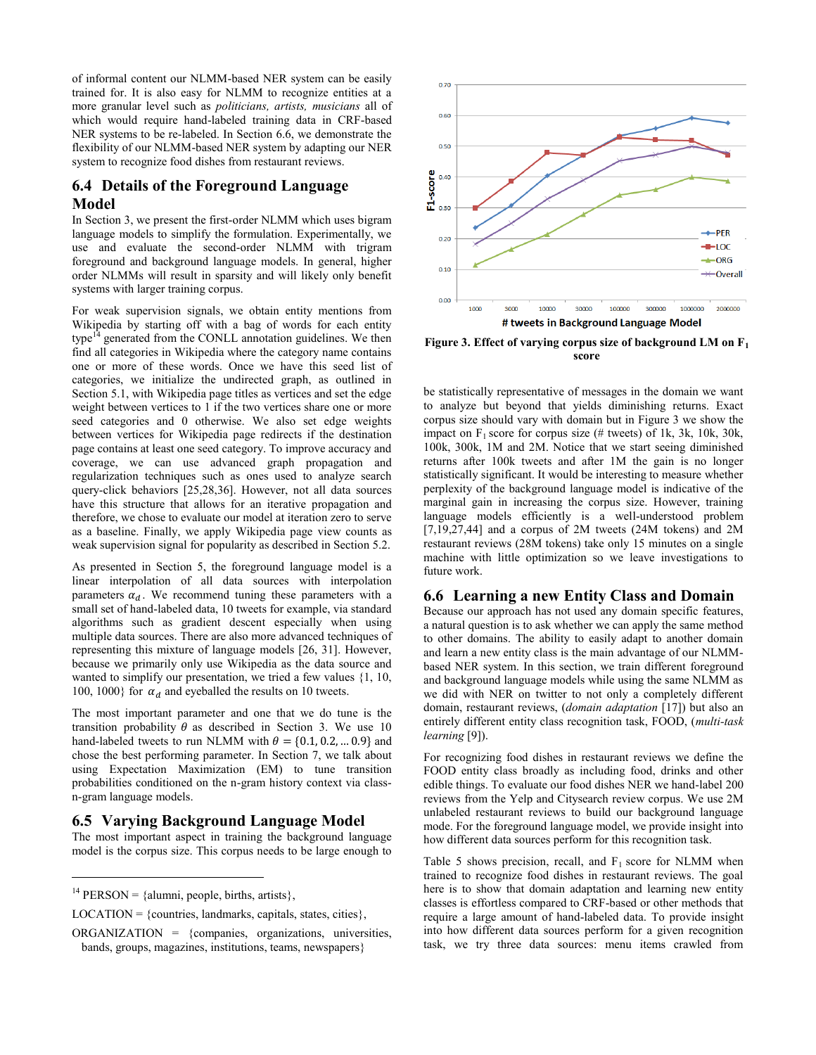of informal content our NLMM-based NER system can be easily trained for. It is also easy for NLMM to recognize entities at a more granular level such as *politicians, artists, musicians* all of which would require hand-labeled training data in CRF-based NER systems to be re-labeled. In Section 6.6, we demonstrate the flexibility of our NLMM-based NER system by adapting our NER system to recognize food dishes from restaurant reviews.

# **6.4 Details of the Foreground Language Model**

In Section 3, we present the first-order NLMM which uses bigram language models to simplify the formulation. Experimentally, we use and evaluate the second-order NLMM with trigram foreground and background language models. In general, higher order NLMMs will result in sparsity and will likely only benefit systems with larger training corpus.

For weak supervision signals, we obtain entity mentions from Wikipedia by starting off with a bag of words for each entity  $type<sup>14</sup>$  generated from the CONLL annotation guidelines. We then find all categories in Wikipedia where the category name contains one or more of these words. Once we have this seed list of categories, we initialize the undirected graph, as outlined in Section 5.1, with Wikipedia page titles as vertices and set the edge weight between vertices to 1 if the two vertices share one or more seed categories and 0 otherwise. We also set edge weights between vertices for Wikipedia page redirects if the destination page contains at least one seed category. To improve accuracy and coverage, we can use advanced graph propagation and regularization techniques such as ones used to analyze search query-click behaviors [25,28,36]. However, not all data sources have this structure that allows for an iterative propagation and therefore, we chose to evaluate our model at iteration zero to serve as a baseline. Finally, we apply Wikipedia page view counts as weak supervision signal for popularity as described in Section 5.2.

As presented in Section 5, the foreground language model is a linear interpolation of all data sources with interpolation parameters  $\alpha_d$ . We recommend tuning these parameters with a small set of hand-labeled data, 10 tweets for example, via standard algorithms such as gradient descent especially when using multiple data sources. There are also more advanced techniques of representing this mixture of language models [26, 31]. However, because we primarily only use Wikipedia as the data source and wanted to simplify our presentation, we tried a few values {1, 10, 100, 1000} for  $\alpha_d$  and eyeballed the results on 10 tweets.

The most important parameter and one that we do tune is the transition probability  $\theta$  as described in Section 3. We use 10 hand-labeled tweets to run NLMM with  $\theta = \{0.1, 0.2, ... 0.9\}$  and chose the best performing parameter. In Section 7, we talk about using Expectation Maximization (EM) to tune transition probabilities conditioned on the n-gram history context via classn-gram language models.

# **6.5 Varying Background Language Model**

The most important aspect in training the background language model is the corpus size. This corpus needs to be large enough to

l



**Figure 3. Effect of varying corpus size of background LM on F<sup>1</sup> score**

be statistically representative of messages in the domain we want to analyze but beyond that yields diminishing returns. Exact corpus size should vary with domain but in Figure 3 we show the impact on  $F_1$  score for corpus size (# tweets) of 1k, 3k, 10k, 30k, 100k, 300k, 1M and 2M. Notice that we start seeing diminished returns after 100k tweets and after 1M the gain is no longer statistically significant. It would be interesting to measure whether perplexity of the background language model is indicative of the marginal gain in increasing the corpus size. However, training language models efficiently is a well-understood problem [7,19,27,44] and a corpus of 2M tweets (24M tokens) and 2M restaurant reviews (28M tokens) take only 15 minutes on a single machine with little optimization so we leave investigations to future work.

## **6.6 Learning a new Entity Class and Domain**

Because our approach has not used any domain specific features, a natural question is to ask whether we can apply the same method to other domains. The ability to easily adapt to another domain and learn a new entity class is the main advantage of our NLMMbased NER system. In this section, we train different foreground and background language models while using the same NLMM as we did with NER on twitter to not only a completely different domain, restaurant reviews, (*domain adaptation* [17]) but also an entirely different entity class recognition task, FOOD, (*multi-task learning* [9]).

For recognizing food dishes in restaurant reviews we define the FOOD entity class broadly as including food, drinks and other edible things. To evaluate our food dishes NER we hand-label 200 reviews from the Yelp and Citysearch review corpus. We use 2M unlabeled restaurant reviews to build our background language mode. For the foreground language model, we provide insight into how different data sources perform for this recognition task.

Table 5 shows precision, recall, and  $F_1$  score for NLMM when trained to recognize food dishes in restaurant reviews. The goal here is to show that domain adaptation and learning new entity classes is effortless compared to CRF-based or other methods that require a large amount of hand-labeled data. To provide insight into how different data sources perform for a given recognition task, we try three data sources: menu items crawled from

<sup>&</sup>lt;sup>14</sup> PERSON = {alumni, people, births, artists},

 $LOCALION = \{countries, landmarks, capitals, states, cities\},\$ 

ORGANIZATION = {companies, organizations, universities, bands, groups, magazines, institutions, teams, newspapers}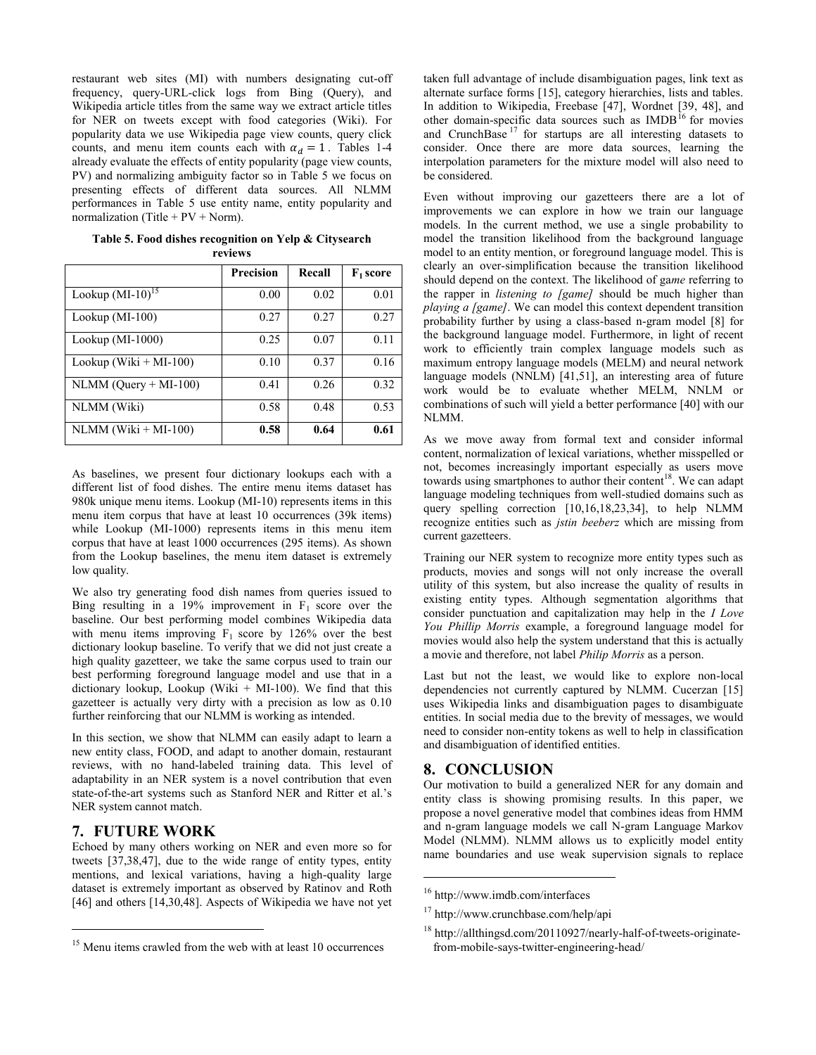restaurant web sites (MI) with numbers designating cut-off frequency, query-URL-click logs from Bing (Query), and Wikipedia article titles from the same way we extract article titles for NER on tweets except with food categories (Wiki). For popularity data we use Wikipedia page view counts, query click counts, and menu item counts each with  $\alpha_d = 1$ . Tables 1-4 already evaluate the effects of entity popularity (page view counts, PV) and normalizing ambiguity factor so in Table 5 we focus on presenting effects of different data sources. All NLMM performances in Table 5 use entity name, entity popularity and normalization (Title +  $PV + Norm$ ).

|                          | <b>Precision</b> | Recall | $F_1$ score |
|--------------------------|------------------|--------|-------------|
| Lookup $(MI-10)^{15}$    | 0.00             | 0.02   | 0.01        |
| Lookup (MI-100)          | 0.27             | 0.27   | 0.27        |
| Lookup (MI-1000)         | 0.25             | 0.07   | 0.11        |
| Lookup (Wiki $+$ MI-100) | 0.10             | 0.37   | 0.16        |
| $NLMM (Query + MI-100)$  | 0.41             | 0.26   | 0.32        |
| NLMM (Wiki)              | 0.58             | 0.48   | 0.53        |
| $NLMM (Wiki + MI-100)$   | 0.58             | 0.64   | 0.61        |

**Table 5. Food dishes recognition on Yelp & Citysearch reviews**

As baselines, we present four dictionary lookups each with a different list of food dishes. The entire menu items dataset has 980k unique menu items. Lookup (MI-10) represents items in this menu item corpus that have at least 10 occurrences (39k items) while Lookup (MI-1000) represents items in this menu item corpus that have at least 1000 occurrences (295 items). As shown from the Lookup baselines, the menu item dataset is extremely low quality.

We also try generating food dish names from queries issued to Bing resulting in a 19% improvement in  $F_1$  score over the baseline. Our best performing model combines Wikipedia data with menu items improving  $F_1$  score by 126% over the best dictionary lookup baseline. To verify that we did not just create a high quality gazetteer, we take the same corpus used to train our best performing foreground language model and use that in a dictionary lookup, Lookup (Wiki  $+$  MI-100). We find that this gazetteer is actually very dirty with a precision as low as 0.10 further reinforcing that our NLMM is working as intended.

In this section, we show that NLMM can easily adapt to learn a new entity class, FOOD, and adapt to another domain, restaurant reviews, with no hand-labeled training data. This level of adaptability in an NER system is a novel contribution that even state-of-the-art systems such as Stanford NER and Ritter et al.'s NER system cannot match.

## **7. FUTURE WORK**

 $\overline{a}$ 

Echoed by many others working on NER and even more so for tweets [37,38,47], due to the wide range of entity types, entity mentions, and lexical variations, having a high-quality large dataset is extremely important as observed by Ratinov and Roth [46] and others [14,30,48]. Aspects of Wikipedia we have not yet

taken full advantage of include disambiguation pages, link text as alternate surface forms [15], category hierarchies, lists and tables. In addition to Wikipedia, Freebase [47], Wordnet [39, 48], and other domain-specific data sources such as  $IMDB<sup>16</sup>$  for movies and CrunchBase <sup>17</sup> for startups are all interesting datasets to consider. Once there are more data sources, learning the interpolation parameters for the mixture model will also need to be considered.

Even without improving our gazetteers there are a lot of improvements we can explore in how we train our language models. In the current method, we use a single probability to model the transition likelihood from the background language model to an entity mention, or foreground language model. This is clearly an over-simplification because the transition likelihood should depend on the context. The likelihood of ga*me* referring to the rapper in *listening to [game]* should be much higher than *playing a [game]*. We can model this context dependent transition probability further by using a class-based n-gram model [8] for the background language model. Furthermore, in light of recent work to efficiently train complex language models such as maximum entropy language models (MELM) and neural network language models (NNLM) [41,51], an interesting area of future work would be to evaluate whether MELM, NNLM or combinations of such will yield a better performance [40] with our NLMM.

As we move away from formal text and consider informal content, normalization of lexical variations, whether misspelled or not, becomes increasingly important especially as users move towards using smartphones to author their content<sup>18</sup>. We can adapt language modeling techniques from well-studied domains such as query spelling correction [10,16,18,23,34], to help NLMM recognize entities such as *jstin beeberz* which are missing from current gazetteers.

Training our NER system to recognize more entity types such as products, movies and songs will not only increase the overall utility of this system, but also increase the quality of results in existing entity types. Although segmentation algorithms that consider punctuation and capitalization may help in the *I Love You Phillip Morris* example, a foreground language model for movies would also help the system understand that this is actually a movie and therefore, not label *Philip Morris* as a person.

Last but not the least, we would like to explore non-local dependencies not currently captured by NLMM. Cucerzan [15] uses Wikipedia links and disambiguation pages to disambiguate entities. In social media due to the brevity of messages, we would need to consider non-entity tokens as well to help in classification and disambiguation of identified entities.

# **8. CONCLUSION**

Our motivation to build a generalized NER for any domain and entity class is showing promising results. In this paper, we propose a novel generative model that combines ideas from HMM and n-gram language models we call N-gram Language Markov Model (NLMM). NLMM allows us to explicitly model entity name boundaries and use weak supervision signals to replace

l

<sup>&</sup>lt;sup>15</sup> Menu items crawled from the web with at least 10 occurrences

<sup>16</sup> http://www.imdb.com/interfaces

<sup>17</sup> http://www.crunchbase.com/help/api

 $18 \text{ http://allthingsd.com/20110927/nearlv-half-of-tweets-originate-}$ from-mobile-says-twitter-engineering-head/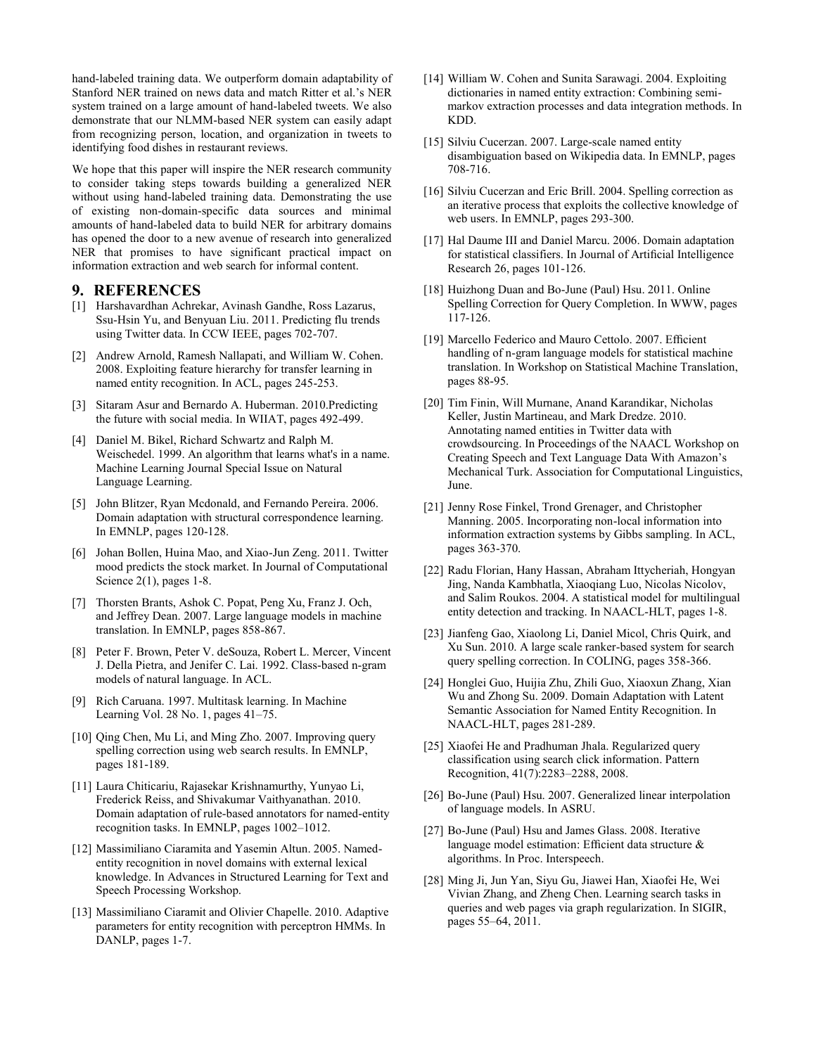hand-labeled training data. We outperform domain adaptability of Stanford NER trained on news data and match Ritter et al.'s NER system trained on a large amount of hand-labeled tweets. We also demonstrate that our NLMM-based NER system can easily adapt from recognizing person, location, and organization in tweets to identifying food dishes in restaurant reviews.

We hope that this paper will inspire the NER research community to consider taking steps towards building a generalized NER without using hand-labeled training data. Demonstrating the use of existing non-domain-specific data sources and minimal amounts of hand-labeled data to build NER for arbitrary domains has opened the door to a new avenue of research into generalized NER that promises to have significant practical impact on information extraction and web search for informal content.

#### **9. REFERENCES**

- [1] Harshavardhan Achrekar, Avinash Gandhe, Ross Lazarus, Ssu-Hsin Yu, and Benyuan Liu. 2011. Predicting flu trends using Twitter data. In CCW IEEE, pages 702-707.
- [2] Andrew Arnold, Ramesh Nallapati, and William W. Cohen. 2008. Exploiting feature hierarchy for transfer learning in named entity recognition. In ACL, pages 245-253.
- [3] Sitaram Asur and Bernardo A. Huberman. 2010.Predicting the future with social media. In WIIAT, pages 492-499.
- [4] Daniel M. Bikel, Richard Schwartz and Ralph M. Weischedel. 1999. An algorithm that learns what's in a name. Machine Learning Journal Special Issue on Natural Language Learning.
- [5] John Blitzer, Ryan Mcdonald, and Fernando Pereira. 2006. Domain adaptation with structural correspondence learning. In EMNLP, pages 120-128.
- [6] Johan Bollen, Huina Mao, and Xiao-Jun Zeng. 2011. Twitter mood predicts the stock market. In Journal of Computational Science 2(1), pages 1-8.
- [7] Thorsten Brants, Ashok C. Popat, Peng Xu, Franz J. Och, and Jeffrey Dean. 2007. Large language models in machine translation. In EMNLP, pages 858-867.
- [8] Peter F. Brown, Peter V. deSouza, Robert L. Mercer, Vincent J. Della Pietra, and Jenifer C. Lai. 1992. Class-based n-gram models of natural language. In ACL.
- [9] Rich Caruana. 1997. Multitask learning. In Machine Learning Vol. 28 No. 1, pages 41–75.
- [10] Qing Chen, Mu Li, and Ming Zho. 2007. Improving query spelling correction using web search results. In EMNLP, pages 181-189.
- [11] Laura Chiticariu, Rajasekar Krishnamurthy, Yunyao Li, Frederick Reiss, and Shivakumar Vaithyanathan. 2010. Domain adaptation of rule-based annotators for named-entity recognition tasks. In EMNLP, pages 1002–1012.
- [12] Massimiliano Ciaramita and Yasemin Altun. 2005. Namedentity recognition in novel domains with external lexical knowledge. In Advances in Structured Learning for Text and Speech Processing Workshop.
- [13] Massimiliano Ciaramit and Olivier Chapelle. 2010. Adaptive parameters for entity recognition with perceptron HMMs. In DANLP, pages 1-7.
- [14] William W. Cohen and Sunita Sarawagi. 2004. Exploiting dictionaries in named entity extraction: Combining semimarkov extraction processes and data integration methods. In KDD.
- [15] Silviu Cucerzan. 2007. Large-scale named entity disambiguation based on Wikipedia data. In EMNLP, pages 708-716.
- [16] Silviu Cucerzan and Eric Brill. 2004. Spelling correction as an iterative process that exploits the collective knowledge of web users. In EMNLP, pages 293-300.
- [17] Hal Daume III and Daniel Marcu. 2006. Domain adaptation for statistical classifiers. In Journal of Artificial Intelligence Research 26, pages 101-126.
- [18] Huizhong Duan and Bo-June (Paul) Hsu. 2011. Online Spelling Correction for Query Completion. In WWW, pages 117-126.
- [19] Marcello Federico and Mauro Cettolo. 2007. Efficient handling of n-gram language models for statistical machine translation. In Workshop on Statistical Machine Translation, pages 88-95.
- [20] Tim Finin, Will Murnane, Anand Karandikar, Nicholas Keller, Justin Martineau, and Mark Dredze. 2010. Annotating named entities in Twitter data with crowdsourcing. In Proceedings of the NAACL Workshop on Creating Speech and Text Language Data With Amazon's Mechanical Turk. Association for Computational Linguistics, June.
- [21] Jenny Rose Finkel, Trond Grenager, and Christopher Manning. 2005. Incorporating non-local information into information extraction systems by Gibbs sampling. In ACL, pages 363-370.
- [22] Radu Florian, Hany Hassan, Abraham Ittycheriah, Hongyan Jing, Nanda Kambhatla, Xiaoqiang Luo, Nicolas Nicolov, and Salim Roukos. 2004. A statistical model for multilingual entity detection and tracking. In NAACL-HLT, pages 1-8.
- [23] Jianfeng Gao, Xiaolong Li, Daniel Micol, Chris Quirk, and Xu Sun. 2010. A large scale ranker-based system for search query spelling correction. In COLING, pages 358-366.
- [24] Honglei Guo, Huijia Zhu, Zhili Guo, Xiaoxun Zhang, Xian Wu and Zhong Su. 2009. Domain Adaptation with Latent Semantic Association for Named Entity Recognition. In NAACL-HLT, pages 281-289.
- [25] Xiaofei He and Pradhuman Jhala. Regularized query classification using search click information. Pattern Recognition, 41(7):2283–2288, 2008.
- [26] Bo-June (Paul) Hsu. 2007. Generalized linear interpolation of language models. In ASRU.
- [27] Bo-June (Paul) Hsu and James Glass. 2008. Iterative language model estimation: Efficient data structure & algorithms. In Proc. Interspeech.
- [28] Ming Ji, Jun Yan, Siyu Gu, Jiawei Han, Xiaofei He, Wei Vivian Zhang, and Zheng Chen. Learning search tasks in queries and web pages via graph regularization. In SIGIR, pages 55–64, 2011.